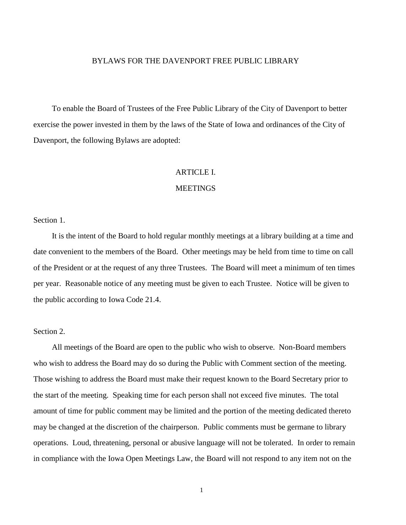#### BYLAWS FOR THE DAVENPORT FREE PUBLIC LIBRARY

To enable the Board of Trustees of the Free Public Library of the City of Davenport to better exercise the power invested in them by the laws of the State of Iowa and ordinances of the City of Davenport, the following Bylaws are adopted:

#### ARTICLE I.

#### **MEETINGS**

Section 1.

It is the intent of the Board to hold regular monthly meetings at a library building at a time and date convenient to the members of the Board. Other meetings may be held from time to time on call of the President or at the request of any three Trustees. The Board will meet a minimum of ten times per year. Reasonable notice of any meeting must be given to each Trustee. Notice will be given to the public according to Iowa Code 21.4.

#### Section 2.

All meetings of the Board are open to the public who wish to observe. Non-Board members who wish to address the Board may do so during the Public with Comment section of the meeting. Those wishing to address the Board must make their request known to the Board Secretary prior to the start of the meeting. Speaking time for each person shall not exceed five minutes. The total amount of time for public comment may be limited and the portion of the meeting dedicated thereto may be changed at the discretion of the chairperson. Public comments must be germane to library operations. Loud, threatening, personal or abusive language will not be tolerated. In order to remain in compliance with the Iowa Open Meetings Law, the Board will not respond to any item not on the

1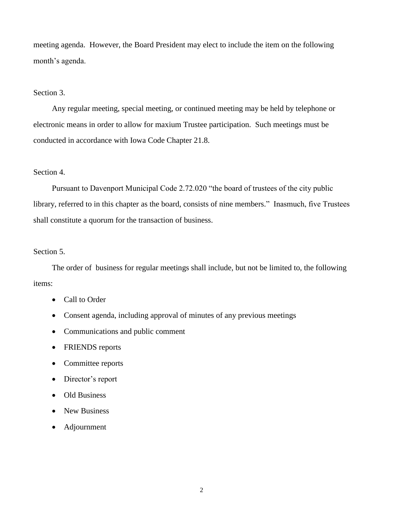meeting agenda. However, the Board President may elect to include the item on the following month's agenda.

## Section 3.

Any regular meeting, special meeting, or continued meeting may be held by telephone or electronic means in order to allow for maxium Trustee participation. Such meetings must be conducted in accordance with Iowa Code Chapter 21.8.

# Section 4.

Pursuant to Davenport Municipal Code 2.72.020 "the board of trustees of the city public library, referred to in this chapter as the board, consists of nine members." Inasmuch, five Trustees shall constitute a quorum for the transaction of business.

# Section 5.

The order of business for regular meetings shall include, but not be limited to, the following items:

- Call to Order
- Consent agenda, including approval of minutes of any previous meetings
- Communications and public comment
- FRIENDS reports
- Committee reports
- Director's report
- Old Business
- New Business
- Adjournment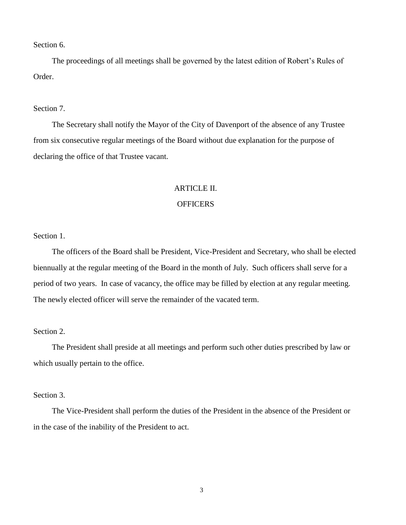Section 6.

The proceedings of all meetings shall be governed by the latest edition of Robert's Rules of Order.

#### Section 7.

The Secretary shall notify the Mayor of the City of Davenport of the absence of any Trustee from six consecutive regular meetings of the Board without due explanation for the purpose of declaring the office of that Trustee vacant.

#### ARTICLE II.

## **OFFICERS**

Section 1.

The officers of the Board shall be President, Vice-President and Secretary, who shall be elected biennually at the regular meeting of the Board in the month of July. Such officers shall serve for a period of two years. In case of vacancy, the office may be filled by election at any regular meeting. The newly elected officer will serve the remainder of the vacated term.

#### Section 2.

The President shall preside at all meetings and perform such other duties prescribed by law or which usually pertain to the office.

# Section 3.

The Vice-President shall perform the duties of the President in the absence of the President or in the case of the inability of the President to act.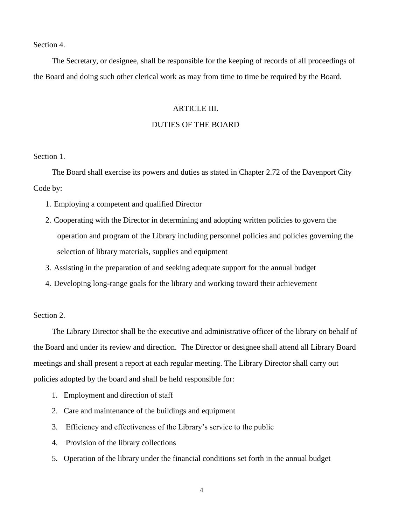Section 4.

The Secretary, or designee, shall be responsible for the keeping of records of all proceedings of the Board and doing such other clerical work as may from time to time be required by the Board.

#### ARTICLE III.

#### DUTIES OF THE BOARD

Section 1.

The Board shall exercise its powers and duties as stated in Chapter 2.72 of the Davenport City Code by:

- 1. Employing a competent and qualified Director
- 2. Cooperating with the Director in determining and adopting written policies to govern the operation and program of the Library including personnel policies and policies governing the selection of library materials, supplies and equipment
- 3. Assisting in the preparation of and seeking adequate support for the annual budget
- 4. Developing long-range goals for the library and working toward their achievement

Section 2.

The Library Director shall be the executive and administrative officer of the library on behalf of the Board and under its review and direction. The Director or designee shall attend all Library Board meetings and shall present a report at each regular meeting. The Library Director shall carry out policies adopted by the board and shall be held responsible for:

- 1. Employment and direction of staff
- 2. Care and maintenance of the buildings and equipment
- 3. Efficiency and effectiveness of the Library's service to the public
- 4. Provision of the library collections
- 5. Operation of the library under the financial conditions set forth in the annual budget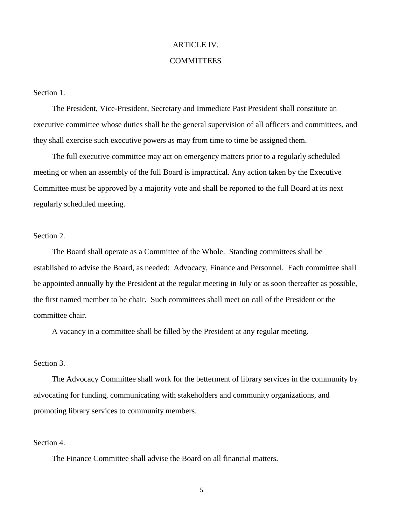# ARTICLE IV. **COMMITTEES**

Section 1.

The President, Vice-President, Secretary and Immediate Past President shall constitute an executive committee whose duties shall be the general supervision of all officers and committees, and they shall exercise such executive powers as may from time to time be assigned them.

The full executive committee may act on emergency matters prior to a regularly scheduled meeting or when an assembly of the full Board is impractical. Any action taken by the Executive Committee must be approved by a majority vote and shall be reported to the full Board at its next regularly scheduled meeting.

#### Section 2.

The Board shall operate as a Committee of the Whole. Standing committees shall be established to advise the Board, as needed: Advocacy, Finance and Personnel. Each committee shall be appointed annually by the President at the regular meeting in July or as soon thereafter as possible, the first named member to be chair. Such committees shall meet on call of the President or the committee chair.

A vacancy in a committee shall be filled by the President at any regular meeting.

## Section 3.

The Advocacy Committee shall work for the betterment of library services in the community by advocating for funding, communicating with stakeholders and community organizations, and promoting library services to community members.

#### Section 4.

The Finance Committee shall advise the Board on all financial matters.

5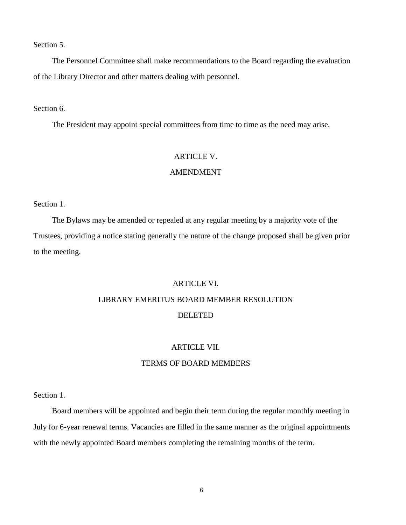Section 5.

The Personnel Committee shall make recommendations to the Board regarding the evaluation of the Library Director and other matters dealing with personnel.

Section 6.

The President may appoint special committees from time to time as the need may arise.

#### ARTICLE V.

# AMENDMENT

Section 1.

The Bylaws may be amended or repealed at any regular meeting by a majority vote of the Trustees, providing a notice stating generally the nature of the change proposed shall be given prior to the meeting.

## ARTICLE VI.

# LIBRARY EMERITUS BOARD MEMBER RESOLUTION

# DELETED

# ARTICLE VII.

# TERMS OF BOARD MEMBERS

Section 1.

Board members will be appointed and begin their term during the regular monthly meeting in July for 6-year renewal terms. Vacancies are filled in the same manner as the original appointments with the newly appointed Board members completing the remaining months of the term.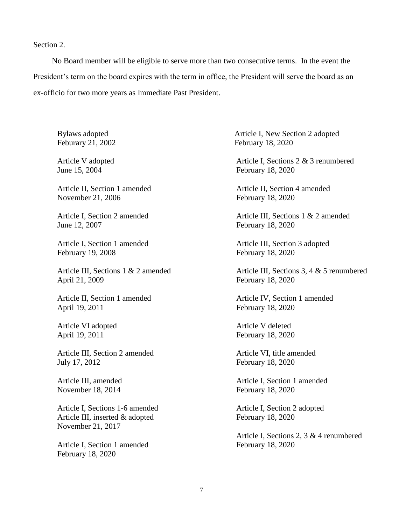Section 2.

No Board member will be eligible to serve more than two consecutive terms. In the event the President's term on the board expires with the term in office, the President will serve the board as an ex-officio for two more years as Immediate Past President.

Bylaws adopted Feburary 21, 2002

Article V adopted June 15, 2004

Article II, Section 1 amended November 21, 2006

Article I, Section 2 amended June 12, 2007

Article I, Section 1 amended February 19, 2008

Article III, Sections 1 & 2 amended April 21, 2009

Article II, Section 1 amended April 19, 2011

Article VI adopted April 19, 2011

Article III, Section 2 amended July 17, 2012

Article III, amended November 18, 2014

Article I, Sections 1-6 amended Article III, inserted & adopted February 18, 2020 November 21, 2017

Article I, Section 1 amended February 18, 2020 February 18, 2020

Article I, New Section 2 adopted February 18, 2020

Article I, Sections 2 & 3 renumbered February 18, 2020

Article II, Section 4 amended February 18, 2020

Article III, Sections 1 & 2 amended February 18, 2020

Article III, Section 3 adopted February 18, 2020

Article III, Sections 3, 4 & 5 renumbered February 18, 2020

Article IV, Section 1 amended February 18, 2020

Article V deleted February 18, 2020

Article VI, title amended February 18, 2020

Article I, Section 1 amended February 18, 2020

Article I, Section 2 adopted

Article I, Sections 2, 3 & 4 renumbered